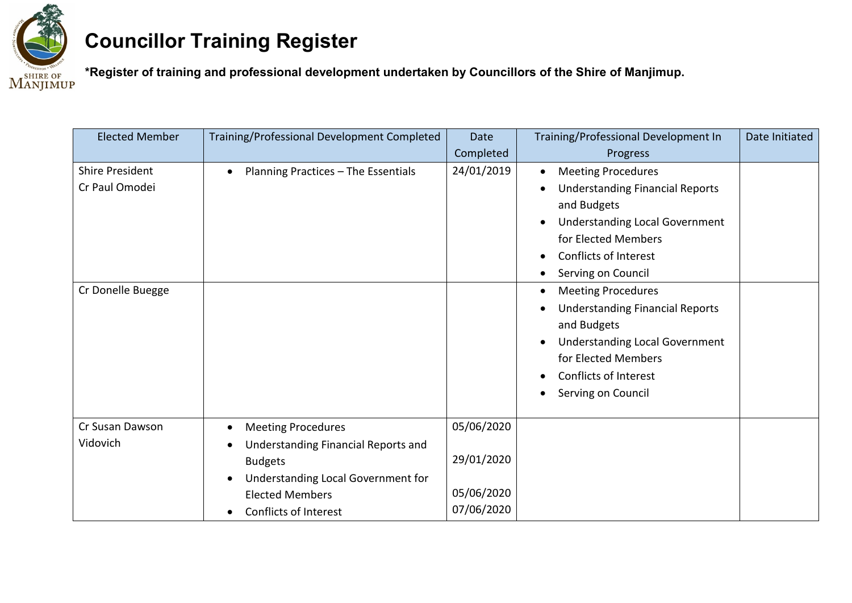

**\*Register of training and professional development undertaken by Councillors of the Shire of Manjimup.** 

| <b>Elected Member</b>  | Training/Professional Development Completed      | <b>Date</b> | Training/Professional Development In   | Date Initiated |
|------------------------|--------------------------------------------------|-------------|----------------------------------------|----------------|
|                        |                                                  | Completed   | Progress                               |                |
| <b>Shire President</b> | Planning Practices - The Essentials              | 24/01/2019  | <b>Meeting Procedures</b>              |                |
| Cr Paul Omodei         |                                                  |             | <b>Understanding Financial Reports</b> |                |
|                        |                                                  |             | and Budgets                            |                |
|                        |                                                  |             | <b>Understanding Local Government</b>  |                |
|                        |                                                  |             | for Elected Members                    |                |
|                        |                                                  |             | Conflicts of Interest                  |                |
|                        |                                                  |             | Serving on Council<br>$\bullet$        |                |
| Cr Donelle Buegge      |                                                  |             | <b>Meeting Procedures</b>              |                |
|                        |                                                  |             | <b>Understanding Financial Reports</b> |                |
|                        |                                                  |             | and Budgets                            |                |
|                        |                                                  |             | <b>Understanding Local Government</b>  |                |
|                        |                                                  |             | for Elected Members                    |                |
|                        |                                                  |             | <b>Conflicts of Interest</b>           |                |
|                        |                                                  |             | Serving on Council                     |                |
|                        |                                                  |             |                                        |                |
| Cr Susan Dawson        | <b>Meeting Procedures</b>                        | 05/06/2020  |                                        |                |
| Vidovich               | Understanding Financial Reports and<br>$\bullet$ |             |                                        |                |
|                        | <b>Budgets</b>                                   | 29/01/2020  |                                        |                |
|                        | Understanding Local Government for               |             |                                        |                |
|                        | <b>Elected Members</b>                           | 05/06/2020  |                                        |                |
|                        | Conflicts of Interest                            | 07/06/2020  |                                        |                |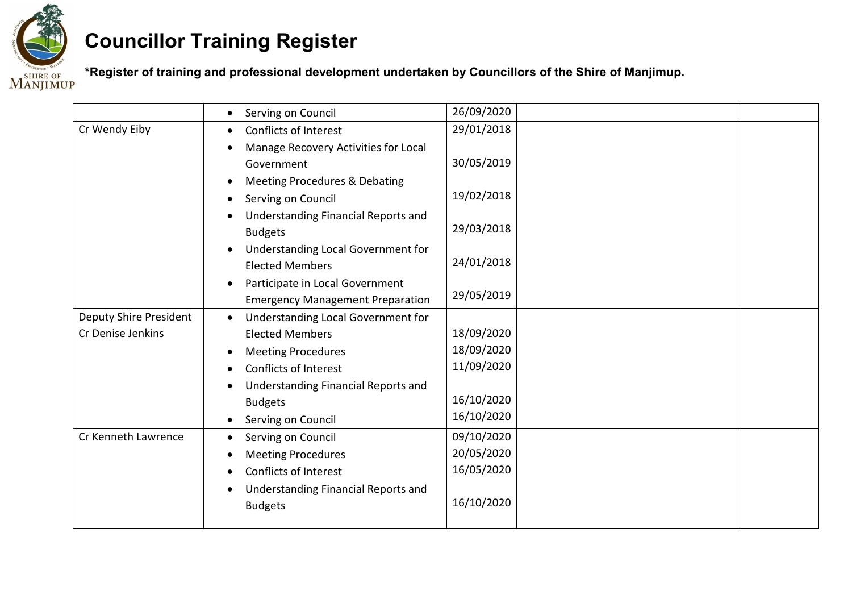

**\*Register of training and professional development undertaken by Councillors of the Shire of Manjimup.** 

|                        | Serving on Council                              | 26/09/2020 |
|------------------------|-------------------------------------------------|------------|
| Cr Wendy Eiby          | Conflicts of Interest                           | 29/01/2018 |
|                        | Manage Recovery Activities for Local            |            |
|                        | Government                                      | 30/05/2019 |
|                        | Meeting Procedures & Debating                   |            |
|                        | Serving on Council                              | 19/02/2018 |
|                        | Understanding Financial Reports and             |            |
|                        | <b>Budgets</b>                                  | 29/03/2018 |
|                        | Understanding Local Government for              |            |
|                        | <b>Elected Members</b>                          | 24/01/2018 |
|                        | Participate in Local Government                 |            |
|                        | <b>Emergency Management Preparation</b>         | 29/05/2019 |
| Deputy Shire President | Understanding Local Government for<br>$\bullet$ |            |
| Cr Denise Jenkins      | <b>Elected Members</b>                          | 18/09/2020 |
|                        | <b>Meeting Procedures</b>                       | 18/09/2020 |
|                        | <b>Conflicts of Interest</b>                    | 11/09/2020 |
|                        | Understanding Financial Reports and             |            |
|                        | <b>Budgets</b>                                  | 16/10/2020 |
|                        | Serving on Council                              | 16/10/2020 |
| Cr Kenneth Lawrence    | Serving on Council                              | 09/10/2020 |
|                        | <b>Meeting Procedures</b>                       | 20/05/2020 |
|                        | Conflicts of Interest                           | 16/05/2020 |
|                        | Understanding Financial Reports and             |            |
|                        | <b>Budgets</b>                                  | 16/10/2020 |
|                        |                                                 |            |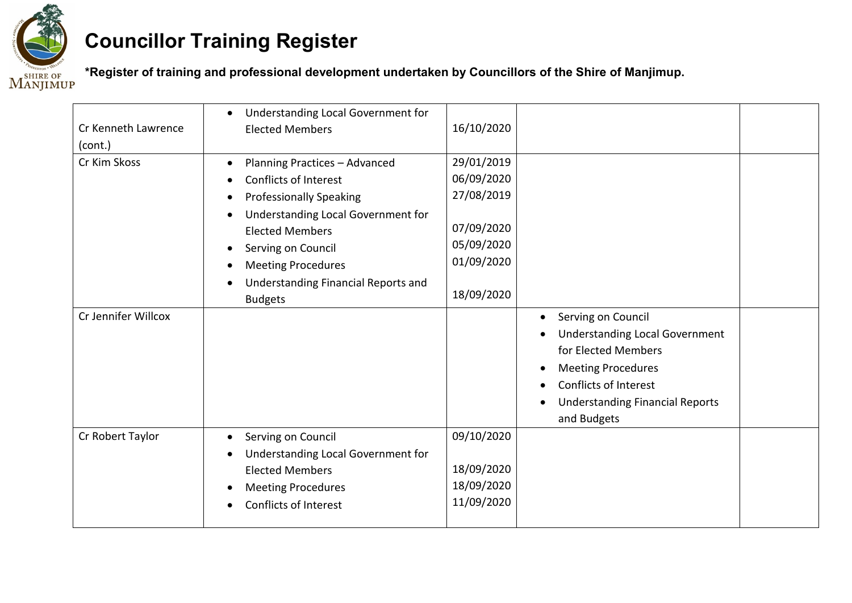

**\*Register of training and professional development undertaken by Councillors of the Shire of Manjimup.** 

| Cr Kenneth Lawrence<br>(cont.) | Understanding Local Government for<br><b>Elected Members</b>                                                                                                                                                                                                         | 16/10/2020                                                                                     |                                                                                                                                                                                                                       |
|--------------------------------|----------------------------------------------------------------------------------------------------------------------------------------------------------------------------------------------------------------------------------------------------------------------|------------------------------------------------------------------------------------------------|-----------------------------------------------------------------------------------------------------------------------------------------------------------------------------------------------------------------------|
| Cr Kim Skoss                   | Planning Practices - Advanced<br>Conflicts of Interest<br><b>Professionally Speaking</b><br>Understanding Local Government for<br><b>Elected Members</b><br>Serving on Council<br><b>Meeting Procedures</b><br>Understanding Financial Reports and<br><b>Budgets</b> | 29/01/2019<br>06/09/2020<br>27/08/2019<br>07/09/2020<br>05/09/2020<br>01/09/2020<br>18/09/2020 |                                                                                                                                                                                                                       |
| Cr Jennifer Willcox            |                                                                                                                                                                                                                                                                      |                                                                                                | Serving on Council<br>$\bullet$<br><b>Understanding Local Government</b><br>for Elected Members<br><b>Meeting Procedures</b><br><b>Conflicts of Interest</b><br><b>Understanding Financial Reports</b><br>and Budgets |
| Cr Robert Taylor               | Serving on Council<br>Understanding Local Government for<br><b>Elected Members</b><br><b>Meeting Procedures</b><br><b>Conflicts of Interest</b>                                                                                                                      | 09/10/2020<br>18/09/2020<br>18/09/2020<br>11/09/2020                                           |                                                                                                                                                                                                                       |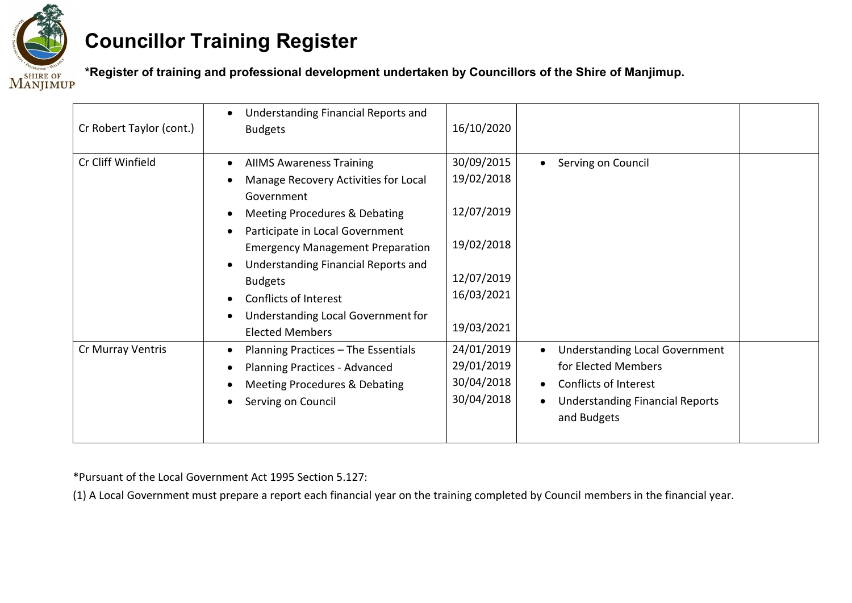

**\*Register of training and professional development undertaken by Councillors of the Shire of Manjimup.** 

| Cr Robert Taylor (cont.) | Understanding Financial Reports and<br><b>Budgets</b>                                                                                                                                                                                                                                                                                                         | 16/10/2020                                                                                     |                                                                                                                                                             |
|--------------------------|---------------------------------------------------------------------------------------------------------------------------------------------------------------------------------------------------------------------------------------------------------------------------------------------------------------------------------------------------------------|------------------------------------------------------------------------------------------------|-------------------------------------------------------------------------------------------------------------------------------------------------------------|
| Cr Cliff Winfield        | <b>AIIMS Awareness Training</b><br>Manage Recovery Activities for Local<br>Government<br>Meeting Procedures & Debating<br>Participate in Local Government<br><b>Emergency Management Preparation</b><br>Understanding Financial Reports and<br><b>Budgets</b><br><b>Conflicts of Interest</b><br>Understanding Local Government for<br><b>Elected Members</b> | 30/09/2015<br>19/02/2018<br>12/07/2019<br>19/02/2018<br>12/07/2019<br>16/03/2021<br>19/03/2021 | Serving on Council<br>$\bullet$                                                                                                                             |
| Cr Murray Ventris        | Planning Practices - The Essentials<br><b>Planning Practices - Advanced</b><br>Meeting Procedures & Debating<br>Serving on Council                                                                                                                                                                                                                            | 24/01/2019<br>29/01/2019<br>30/04/2018<br>30/04/2018                                           | <b>Understanding Local Government</b><br>for Elected Members<br>Conflicts of Interest<br>$\bullet$<br><b>Understanding Financial Reports</b><br>and Budgets |

\*Pursuant of the Local Government Act 1995 Section 5.127:

(1) A Local Government must prepare a report each financial year on the training completed by Council members in the financial year.